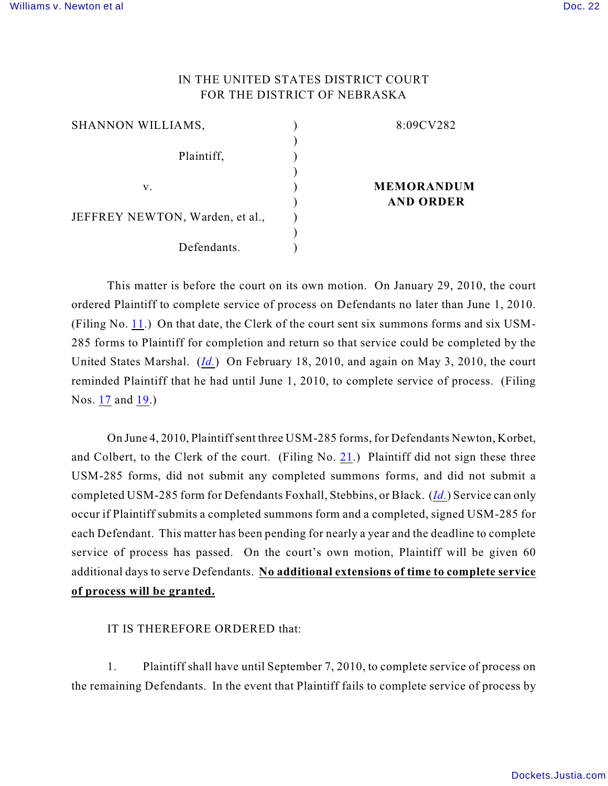## IN THE UNITED STATES DISTRICT COURT FOR THE DISTRICT OF NEBRASKA

| SHANNON WILLIAMS,               | 8:09CV282         |
|---------------------------------|-------------------|
|                                 |                   |
| Plaintiff,                      |                   |
|                                 |                   |
| V.                              | <b>MEMORANDUM</b> |
|                                 | <b>AND ORDER</b>  |
| JEFFREY NEWTON, Warden, et al., |                   |
|                                 |                   |
| Defendants.                     |                   |

This matter is before the court on its own motion. On January 29, 2010, the court ordered Plaintiff to complete service of process on Defendants no later than June 1, 2010. (Filing No. [11](https://ecf.ned.uscourts.gov/doc1/11311941810).) On that date, the Clerk of the court sent six summons forms and six USM-285 forms to Plaintiff for completion and return so that service could be completed by the United States Marshal. (*[Id.](https://ecf.ned.uscourts.gov/doc1/11311941810)*) On February 18, 2010, and again on May 3, 2010, the court reminded Plaintiff that he had until June 1, 2010, to complete service of process. (Filing Nos. [17](https://ecf.ned.uscourts.gov/doc1/11311953969) and [19](https://ecf.ned.uscourts.gov/doc1/11312008104).)

On June 4, 2010, Plaintiff sent three USM-285 forms, for Defendants Newton, Korbet, and Colbert, to the Clerk of the court. (Filing No. [21](https://ecf.ned.uscourts.gov/doc1/11312033588).) Plaintiff did not sign these three USM-285 forms, did not submit any completed summons forms, and did not submit a completed USM-285 form for Defendants Foxhall, Stebbins, or Black. (*[Id.](https://ecf.ned.uscourts.gov/doc1/11312033588)*) Service can only occur if Plaintiff submits a completed summons form and a completed, signed USM-285 for each Defendant. This matter has been pending for nearly a year and the deadline to complete service of process has passed. On the court's own motion, Plaintiff will be given 60 additional days to serve Defendants. **No additional extensions of time to complete service of process will be granted.**

IT IS THEREFORE ORDERED that:

1. Plaintiff shall have until September 7, 2010, to complete service of process on the remaining Defendants. In the event that Plaintiff fails to complete service of process by